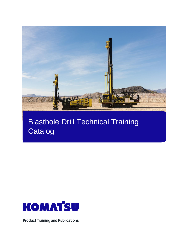

# Blasthole Drill Technical Training **Catalog**



**Product Training and Publications**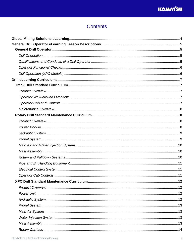# **Contents**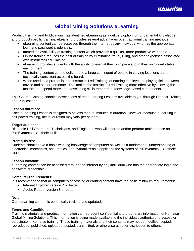

# **Global Mining Solutions eLearning**

<span id="page-3-0"></span>Product Training and Publications has identified eLearning as a delivery option for fundamental knowledge and product specific training. eLearning provides several advantages over traditional training methods:

- eLearning content can be accessed through the Internet by any individual who has the appropriate login and password credentials.
- Immediate availability of training content which provides a quicker, more productive workforce.
- Online training reduces the cost of training by eliminating travel, living, and other expenses associated with Instructor-Led Training.
- eLearning provides students with the ability to learn at their own pace and in their own comfortable environment.
- The training content can be delivered to a large contingent of people in varying locations and be technically consistent across the board.
- When used as a prerequisite to Instructor-Led Training, eLearning can level the playing field between novice and senior personnel. This makes the Instructor-Led Training more effective by allowing the Instructor to spend more time developing skills rather than knowledge-based components.

This Course Catalog contains descriptions of the eLearning Lessons available to you through Product Training and Publications.

#### **Lesson duration:**

Each eLearning Lesson is designed to be less than 60 minutes in duration. However, because eLearning is self-paced training, actual duration may vary per student.

#### **Target audience:**

Blasthole Drill Operators, Technicians, and Engineers who will operate and/or perform maintenance on P&H/Komatsu Blasthole Drills.

#### **Prerequisites:**

Students should have a basic working knowledge of computers as well as a fundamental understanding of electronics, mechanics, pneumatics, and hydraulics as it applies to the systems of P&H/Komatsu Blasthole Drills.

#### **Lesson location:**

eLearning content can be accessed through the Internet by any individual who has the appropriate login and password credentials.

#### **Computer requirements:**

It is recommended that all computers accessing eLearning content have the basic minimum requirements:

- Internet Explorer version 7 or better
- Adobe Reader version 8 or better

#### **Note:**

Our eLearning content is periodically revised and updated.

#### **Terms and Conditions:**

Training materials and product information can represent confidential and proprietary information of Komatsu Global Mining Solutions. This information is being made available to the individuals authorized to access or participate in Komatsu training. These training materials and their contents may not be modified, copied, reproduced, published, uploaded, posted, transmitted, or otherwise used for distribution to others.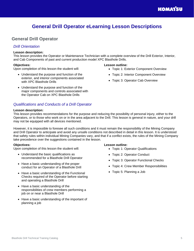# **General Drill Operator eLearning Lesson Descriptions**

# <span id="page-4-1"></span><span id="page-4-0"></span>**General Drill Operator**

## <span id="page-4-2"></span>*Drill Orientation*

#### **Lesson description:**

This lesson provides the Operator or Maintenance Technician with a complete overview of the Drill Exterior, Interior, and Cab Components of past and current production model XPC Blasthole Drills.

#### **Objectives:**

Upon completion of this lesson the student will:

- Understand the purpose and function of the exterior, and interior components associated with XPC Blasthole Drills
- Understand the purpose and function of the major components and controls associated with the Operator Cab on XPC Blasthole Drills

# <span id="page-4-3"></span>*Qualifications and Conducts of a Drill Operator*

#### **Lesson description:**

This lesson provides recommendations for the purpose and reducing the possibility of personal injury, either to the Operators, or to those who work on or in the area adjacent to the Drill. This lesson is general in nature, and your drill may not be equipped with all devices mentioned.

However, it is impossible to foresee all such conditions and it must remain the responsibility of the Mining Company and Drill Operator to anticipate and avoid any unsafe conditions not described in detail in this lesson. It is understood that safety rules within individual Mining Companies vary, and that if a conflict exists, the rules of the Mining Company take precedence over the suggestions contained in the lesson.

#### **Objectives:**

Upon completion of this lesson the student will:

- Understand the basic qualifications as recommended for a Blasthole Drill Operator
- Have a basic understanding of the proper conduct for an Operator of a Blasthole Drill
- Have a basic understanding of the Functional Checks required of the Operator before starting and operating a Blasthole Drill
- Have a basic understanding of the responsibilities of crew members performing a job on or near a Blasthole Drill
- Have a basic understanding of the important of planning a job

#### **Lesson outline:**

- Topic 1: Operator Qualifications
- Topic 2: Operator Conduct
- Topic 3: Operator Functional Checks
- Topic 4: Crew Member Responsibilities
- Topic 5: Planning a Job

- Topic 1: Exterior Component Overview
- Topic 2: Interior Component Overview
- Topic 3: Operator Cab Overview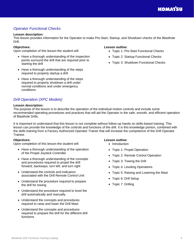# <span id="page-5-0"></span>*Operator Functional Checks*

#### **Lesson description:**

This lesson provides information for the Operator to make Pre-Start, Startup, and Shutdown checks of the Blasthole Drill.

#### **Objectives:**

Upon completion of this lesson the student will:

- Have a thorough understanding of the inspection points surround the drill that are required prior to starting the drill
- Have a thorough understanding of the steps required to properly startup a drill
- Have a thorough understanding of the steps required to properly shutdown a drill under normal conditions and under emergency conditions

#### **Lesson outline:**

- Topic 1: Pre-Start Functional Checks
- Topic 2: Startup Functional Checks
- Topic 3: Shutdown Functional Checks

# <span id="page-5-1"></span>*Drill Operation (XPC Models)*

#### **Lesson description:**

The purpose of the lesson is to describe the operation of the individual motion controls and include some recommended operating procedures and practices that will aid the Operator in the safe, smooth, and efficient operation of Blasthole Drills.

It is important to understand that this lesson is not complete without follow-up hands on skills-based training. This lesson can provide the knowledge of the controls and functions of the drill. It is this knowledge portion, combined with the skills training from a Factory Authorized Operator Trainer that will increase the competence of the Drill Operator Trainee.

#### **Objectives:**

Upon completion of this lesson the student will:

- Have a thorough understanding of the operation of the Propel Joystick Controller
- Have a thorough understanding of the concepts and procedures required to propel the drill forward, backways, turn left, and turn right
- Understand the controls and indicators associated with the Drill Remote Control Unit
- Understand the procedure required to prepare the drill for towing
- Understand the procedure required to level the drill automatically and manually
- Understand the concepts and procedures required to raise and lower the Drill Mast
- Understand the concepts and procedures required to prepare the drill for the different drill functions

- Introduction
- Topic 1: Propel Operation
- Topic 2: Remote Control Operation
- Topic 3: Towing the Drill
- Topic 4: Leveling Operations
- Topic 5: Raising and Lowering the Mast
- Topic 6: Drill Setup
- Topic 7: Drilling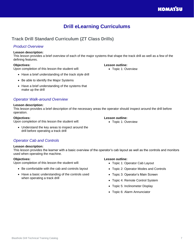# **Drill eLearning Curriculums**

# <span id="page-6-1"></span><span id="page-6-0"></span>**Track Drill Standard Curriculum (ZT Class Drills)**

# <span id="page-6-2"></span>*Product Overview*

#### **Lesson description:**

This lesson provides a brief overview of each of the major systems that shape the track drill as well as a few of the defining features.

### **Objectives:**

Upon completion of this lesson the student will:

- Have a brief understanding of the track style drill
- Be able to identify the Major Systems
- Have a brief understanding of the systems that make up the drill

# <span id="page-6-3"></span>*Operator Walk-around Overview*

#### **Lesson description:**

This lesson provides a brief description of the necessary areas the operator should inspect around the drill before operation.

#### **Objectives:**

Upon completion of this lesson the student will:

#### **Lesson outline:**

- Topic 1: Overview
- Understand the key areas to inspect around the drill before operating a track drill

# <span id="page-6-4"></span>*Operator Cab and Controls*

### **Lesson description:**

This lesson provides the learner with a basic overview of the operator's cab layout as well as the controls and monitors used when operating the machine.

### **Objectives:**

Upon completion of this lesson the student will:

- Be comfortable with the cab and controls layout
- Have a basic understanding of the controls used when operating a track drill

# **Lesson outline:**

- Topic 1: Operator Cab Layout
- Topic 2: Operator Modes and Controls
- Topic 3: Operator's Main Screen
- Topic 4: Remote Control System
- Topic 5: Inclinometer Display
- Topic 6: Alarm Annunciator

# **Lesson outline:**

• Topic 1: Overview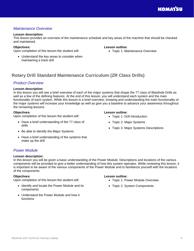# <span id="page-7-0"></span>*Maintenance Overview*

#### **Lesson description:**

This lesson provides an overview of the maintenance schedule and key areas of the machine that should be checked and maintained.

#### **Objectives:**

Upon completion of this lesson the student will:

• Understand the key areas to consider when maintaining a track drill

#### **Lesson outline:**

• Topic 1: Maintenance Overview

# <span id="page-7-1"></span>**Rotary Drill Standard Maintenance Curriculum (ZR Class Drills)**

### <span id="page-7-2"></span>*Product Overview*

#### **Lesson description:**

In this lesson you will see a brief overview of each of the major systems that shape the 77 class of Blasthole Drills as well as a few of the defining features. At the end of this lesson, you will understand each system and the main functionality of each system. While this lesson is a brief overview, knowing and understanding the main functionality of the major systems will increase your knowledge as well as give you a baseline to advance your awareness throughout the remaining lessons.

#### **Objectives:**

Upon completion of this lesson the student will:

- Have a brief understanding of the 77 class of drills
- Be able to identify the Major Systems
- Have a brief understanding of the systems that make up the drill

# <span id="page-7-3"></span>*Power Module*

#### **Lesson description:**

In this lesson you will be given a basic understanding of the Power Module. Descriptions and locations of the various components will be provided to give a better understanding of how this system operates. While reviewing this lesson, it is important to be aware of the various components of the Power Module and to familiarize yourself with the locations of the components.

#### **Objectives:**

Upon completion of this lesson the student will:

- Identify and locate the Power Module and its components
- Understand the Power Module and how it functions

# **Lesson outline:**

- Topic 1: Power Module Overview
- Topic 2: System Components

- Topic 1: Drill Introduction
- Topic 2: Major Systems
- Topic 3: Major Systems Descriptions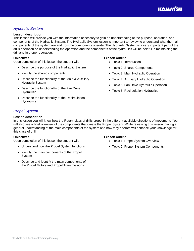# <span id="page-8-0"></span>*Hydraulic System*

#### **Lesson description:**

This lesson will provide you with the information necessary to gain an understanding of the purpose, operation, and components of the Hydraulic System. The Hydraulic System lesson is important to review to understand what the main components of the system are and how the components operate. The Hydraulic System is a very important part of the drills operation so understanding the operation and the components of the hydraulics will be helpful in maintaining the drill and in proper operation.

#### **Objectives:**

Upon completion of this lesson the student will:

- Describe the purpose of the Hydraulic System
- Identify the shared components
- Describe the functionality of the Main & Auxiliary Hydraulic System
- Describe the functionality of the Fan Drive **Hydraulics**
- Describe the functionality of the Recirculation **Hydraulics**

#### **Lesson outline:**

- Topic 1: Introduction
- Topic 2: Shared Components
- Topic 3: Main Hydraulic Operation
- Topic 4: Auxiliary Hydraulic Operation
- Topic 5: Fan Drive Hydraulic Operation
- Topic 6: Recirculation Hydraulics

# <span id="page-8-1"></span>*Propel System*

#### **Lesson description:**

In this lesson you will know how the Rotary class of drills propel in the different available directions of movement. You will also see a brief overview of the components that create the Propel System. While reviewing this lesson, having a general understanding of the main components of the system and how they operate will enhance your knowledge for this class of drill.

#### **Objectives:**

Upon completion of this lesson the student will:

- Understand how the Propel System functions
- Identify the main components of the Propel System
- Describe and identify the main components of the Propel Motors and Propel Transmissions

- Topic 1: Propel System Overview
- Topic 2: Propel System Components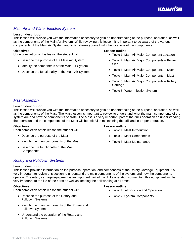# <span id="page-9-0"></span>*Main Air and Water Injection System*

#### **Lesson description:**

This lesson will provide you with the information necessary to gain an understanding of the purpose, operation, as well as the components of the Main Air System. While reviewing this lesson, it is important to be aware of the various components of the Main Air System and to familiarize yourself with the locations of the components.

#### **Objectives:**

Upon completion of this lesson the student will:

- Describe the purpose of the Main Air System
- Identify the components of the Main Air System
- Describe the functionality of the Main Air System

#### **Lesson outline:**

- Topic 1: Main Air Major Component Location
- Topic 2: Main Air Major Components Power **Skid**
- Topic 3: Main Air Major Components Deck
- Topic 4: Main Air Major Components Mast
- Topic 5: Main Air Major Components Rotary Carriage
- Topic 6: Water Injection System

# <span id="page-9-1"></span>*Mast Assembly*

#### **Lesson description:**

This lesson will provide you with the information necessary to gain an understanding of the purpose, operation, as well as the components of the Mast. The Mast lesson is important to review to understand what the main components of the system are and how the components operate. The Mast is a very important part of the drills operation so understanding the operation and the components of the Mast will be helpful in maintaining the drill and in proper operation.

#### **Objectives:**

Upon completion of this lesson the student will:

- Describe the purpose of the Mast
- Identify the main components of the Mast
- Describe the functionality of the Mast **Components**

#### **Lesson outline:**

- Topic 1: Mast Introduction
- Topic 2: Mast Components
- Topic 3: Mast Maintenance

# <span id="page-9-2"></span>*Rotary and Pulldown Systems*

#### **Lesson description:**

This lesson provides information on the purpose, operation, and components of the Rotary Carriage Equipment. It's very important to review this section to understand the main components of the system, and how the components operate. The rotary carriage equipment is an important part of the drill's operation so maintain this equipment will be very important to the life of the parts as well as keeping the drill working at all times.

#### **Objectives:**

Upon completion of this lesson the student will:

- Describe the purpose of the Rotary and Pulldown Systems
- Identify the main components of the Rotary and Pulldown Systems
- Understand the operation of the Rotary and Pulldown Systems

- Topic 1: Introduction and Operation
- Topic 2: System Components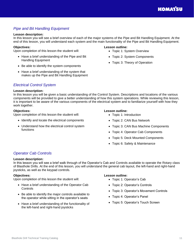# <span id="page-10-0"></span>*Pipe and Bit Handling Equipment*

#### **Lesson description:**

In this lesson you will see a brief overview of each of the major systems of the Pipe and Bit Handling Equipment. At the end of this lesson, you will understand each system and the main functionality of the Pipe and Bit Handling Equipment.

#### **Objectives:**

Upon completion of this lesson the student will:

- Have a brief understanding of the Pipe and Bit Handling Equipment
- Be able to identify the system components
- Have a brief understanding of the system that makes up the Pipe and Bit Handling Equipment

#### **Lesson outline:**

- Topic 1: System Overview
- Topic 2: System Components
- Topic 3: Theory of Operation

# <span id="page-10-1"></span>*Electrical Control System*

#### **Lesson description:**

In this lesson you will be given a basic understanding of the Control System. Descriptions and locations of the various components will be provided to give a better understanding of how this system operations. While reviewing this lesson, it is important to be aware of the various components of the electrical system and to familiarize yourself with how they work together.

#### **Objectives:**

Upon completion of this lesson the student will:

- Identify and locate the electrical components
- Understand how the electrical control system functions

#### **Lesson outline:**

- Topic 1: Introduction
- Topic 2: CAN Bus Network
- Topic 3: CAN Bus Machine Components
- Topic 4: Operator Cab Components
- Topic 5: Deck Mounted Components
- Topic 6: Safety & Maintenance

### <span id="page-10-2"></span>*Operator Cab Controls*

#### **Lesson description:**

In this lesson you will see a brief walk through of the Operator's Cab and Controls available to operate the Rotary class of Blasthole Drills. At the end of this lesson, you will understand the general cab layout, the left-hand and right-hand joysticks, as well as the keypad controls.

#### **Objectives:**

Upon completion of this lesson the student will:

- Have a brief understanding of the Operator Cab **Controls**
- Be able to identify the major controls available to the operator while sitting in the operator's seats
- Have a brief understanding of the functionality of the left-hand and right-hand joysticks

- Topic 1: Operator's Cab
- Topic 2: Operator's Controls
- Topic 3: Operator's Movement Controls
- Topic 4: Operator's Panel
- Topic 5: Operator's Touch Screen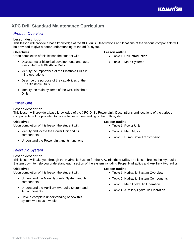# <span id="page-11-0"></span>**XPC Drill Standard Maintenance Curriculum**

# <span id="page-11-1"></span>*Product Overview*

# **Lesson description:**

This lesson will provide a base knowledge of the XPC drills. Descriptions and locations of the various components will be provided to give a better understanding of the drill's layout.

# **Objectives:**

Upon completion of this lesson the student will:

- Discuss major historical developments and facts associated with Blasthole Drills
- Identify the importance of the Blasthole Drills in mine operations
- Describe the purpose of the capabilities of the XPC Blasthole Drills
- Identify the main systems of the XPC Blasthole Drills

# **Lesson outline:**

- Topic 1: Drill Introduction
- Topic 2: Main Systems

# <span id="page-11-2"></span>*Power Unit*

#### **Lesson description:**

This lesson will provide a base knowledge of the XPC Drill's Power Unit. Descriptions and locations of the various components will be provided to give a better understanding of the drills system.

#### **Objectives:**

Upon completion of this lesson the student will:

- Identify and locate the Power Unit and its components
- Understand the Power Unit and its functions

#### **Lesson outline:**

- Topic 1: Power Unit
- Topic 2: Main Motor
- Topic 3: Pump Drive Transmission

# <span id="page-11-3"></span>*Hydraulic System*

#### **Lesson description:**

This lesson will take you through the Hydraulic System for the XPC Blasthole Drills. The lesson breaks the Hydraulic System down to help you understand each section of the system including Propel Hydraulics and Auxiliary Hydraulics.

#### **Objectives:**

Upon completion of this lesson the student will:

- Understand the Main Hydraulic System and its components
- Understand the Auxiliary Hydraulic System and its components
- Have a complete understanding of how this system works as a whole

- Topic 1: Hydraulic System Overview
- Topic 2: Hydraulic System Components
- Topic 3: Main Hydraulic Operation
- Topic 4: Auxiliary Hydraulic Operation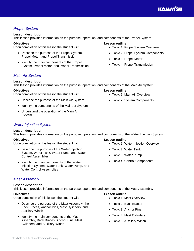# <span id="page-12-0"></span>*Propel System*

# **Lesson description:**

This lesson provides information on the purpose, operation, and components of the Propel System.

# **Objectives:**

Upon completion of this lesson the student will:

- Describe the purpose of the Propel System, Propel Motor, and Propel Transmission
- Identify the main components of the Propel System, Propel Motor, and Propel Transmission

# <span id="page-12-1"></span>*Main Air System*

# **Lesson description:**

This lesson provides information on the purpose, operation, and components of the Main Air System.

# **Objectives:**

Upon completion of this lesson the student will:

- Describe the purpose of the Main Air System
- Identify the components of the Main Air System
- Understand the operation of the Main Air System

# <span id="page-12-2"></span>*Water Injection System*

# **Lesson description:**

This lesson provides information on the purpose, operation, and components of the Water Injection System.

# **Objectives:**

Upon completion of this lesson the student will:

- Describe the purpose of the Water Injection System, Water Tank, Water Pump, and Water Control Assemblies
- Identify the main components of the Water Injection System, Water Tank, Water Pump, and Water Control Assemblies

# <span id="page-12-3"></span>*Mast Assembly*

# **Lesson description:**

This lesson provides information on the purpose, operation, and components of the Mast Assembly.

#### **Objectives:**

Upon completion of this lesson the student will:

- Describe the purpose of the Mast Assembly, the Back Braces, Anchor Pins, Mast Cylinders, and Auxiliary Winch
- Identify the main components of the Mast Assembly, Back Braces, Anchor Pins, Mast Cylinders, and Auxiliary Winch

### **Lesson outline:**

**Lesson outline:**

- Topic 1: Water Injection Overview
- Topic 2: Water Tank
- Topic 3: Water Pump

• Topic 1: Mast Overview • Topic 2: Back Braces • Topic 3: Anchor Pins • Topic 4: Mast Cylinders • Topic 5: Auxiliary Winch

• Topic 4: Control Components

## **Lesson outline:**

**Lesson outline:**

- Topic 1: Propel System Overview
- Topic 2: Propel System Components
- Topic 3: Propel Motor
- Topic 4: Propel Transmission

• Topic 1: Main Air Overview • Topic 2: System Components

# **KOMATSU**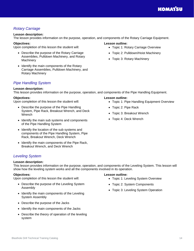# <span id="page-13-0"></span>*Rotary Carriage*

# **Lesson description:**

The lesson provides information on the purpose, operation, and components of the Rotary Carriage Equipment.

# **Objectives:**

Upon completion of this lesson the student will:

- Describe the purpose of the Rotary Carriage Assemblies, Pulldown Machinery, and Rotary **Machinery**
- Identify the main components of the Rotary Carriage Assemblies, Pulldown Machinery, and Rotary Machinery

# <span id="page-13-1"></span>*Pipe Handling System*

# **Lesson description:**

This lesson provides information on the purpose, operation, and components of the Pipe Handling Equipment.

# **Objectives:**

Upon completion of this lesson the student will:

- Describe the purpose of the Pipe Handling System, Pipe Rack, Breakout Wrench, and Deck Wrench
- Identify the main sub systems and components of the Pipe Handling System
- Identify the location of the sub systems and components of the Pipe Handling System, Pipe Rack, Breakout Wrench, Deck Wrench
- Identify the main components of the Pipe Rack, Breakout Wrench, and Deck Wrench

# <span id="page-13-2"></span>*Leveling System*

# **Lesson description:**

This lesson provides information on the purpose, operation, and components of the Leveling System. This lesson will show how the leveling system works and all the components involved in its operation.

# **Objectives:**

Upon completion of this lesson the student will:

- Describe the purpose of the Leveling System Assembly
- Identify the main components of the Leveling System Assembly
- Describe the purpose of the Jacks
- Identify the main components of the Jacks
- Describe the theory of operation of the leveling system

# **Lesson outline:**

- Topic 1: Pipe Handling Equipment Overview
- Topic 2: Pipe Rack
- Topic 3: Breakout Wrench
- Topic 4: Deck Wrench

### **Lesson outline:**

- Topic 1: Leveling System Overview
- Topic 2: System Components
- Topic 3: Leveling System Operation

- Topic 1: Rotary Carriage Overview
- Topic 2: Pulldown/Hoist Machinery
- Topic 3: Rotary Machinery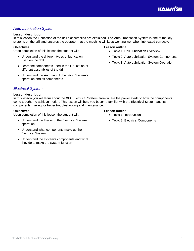# <span id="page-14-0"></span>*Auto Lubrication System*

#### **Lesson description:**

In this lesson the lubrication of the drill's assemblies are explained. The Auto Lubrication System is one of the key systems on the drill and ensures the operator that the machine will keep working well when lubricated correctly.

#### **Objectives:**

Upon completion of this lesson the student will:

- Understand the different types of lubrication used on the drill
- Learn the components used in the lubrication of different assemblies of the drill
- Understand the Automatic Lubrication System's operation and its components

#### **Lesson outline:**

- Topic 1: Drill Lubrication Overview
- Topic 2: Auto Lubrication System Components
- Topic 3: Auto Lubrication System Operation

### <span id="page-14-1"></span>*Electrical System*

#### **Lesson description:**

In this lesson you will learn about the XPC Electrical System, from where the power starts to how the components come together to achieve motion. This lesson will help you become familiar with the Electrical System and its components making for better troubleshooting and maintenance.

#### **Objectives:**

Upon completion of this lesson the student will:

- Understand the theory of the Electrical System operation
- Understand what components make up the Electrical System
- Understand the system's components and what they do to make the system function

- Topic 1: Introduction
- Topic 2: Electrical Components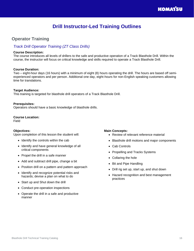# **Drill Instructor-Led Training Outlines**

# <span id="page-15-1"></span><span id="page-15-0"></span>**Operator Training**

#### <span id="page-15-2"></span>*Track Drill Operator Training (ZT Class Drills)*

#### **Course Description:**

The course introduces all levels of drillers to the safe and productive operation of a Track Blasthole Drill. Within the course, the instructor will focus on critical knowledge and skills required to operate a Track Blasthole Drill.

#### **Course Duration:**

Two – eight-hour days (16 hours) with a minimum of eight (8) hours operating the drill. The hours are based off semiexperienced operators and per person. Additional one day, eight-hours for non-English speaking customers allowing time for translations.

#### **Target Audience:**

This training is targeted for blasthole drill operators of a Track Blasthole Drill.

#### **Prerequisites:**

Operators should have a basic knowledge of blasthole drills.

#### **Course Location:**

Field

#### **Objectives:**

Upon completion of this lesson the student will:

- Identify the controls within the cab
- Identify and have general knowledge of all critical components
- Propel the drill in a safe manner
- Add and subtract drill pipe, change a bit
- Position drill on a pattern and pattern approach
- Identify and recognize potential risks and hazards; devise a plan on what to do
- Start up and Shut down the drill
- Conduct pre-operation inspections
- Operate the drill in a safe and productive manner

- Review of relevant reference material
- Blasthole drill motions and major components
- Cab Controls
- Propelling and Tracks Systems
- Collaring the hole
- Bit and Pipe Handling
- Drill rig set up, start up, and shut down
- Hazard recognition and best management practices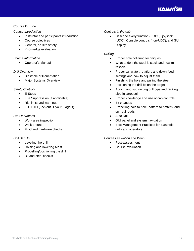#### **Course Outline:**

#### *Course Introduction*

- Instructor and participants introduction
- Course objectives
- General, on-site safety
- Knowledge evaluation

#### *Source Information*

• Operator's Manual

#### *Drill Overview*

- Blasthole drill orientation
- Major Systems Overview

#### *Safety Controls*

- E-Stops
- Fire Suppression (if applicable)
- Rig limits and warnings
- LOTOTO (Lockout, Tryout, Tagout)

#### *Pre-Operations*

- Work area inspection
- Walk around
- Fluid and hardware checks

#### *Drill Set-Up*

- Leveling the drill
- Raising and lowering Mast
- Propelling/positioning the drill
- Bit and steel checks

#### *Controls in the cab*

• Describe every function (PODS), joystick (UDC), Console controls (non-UDC), and GUI **Display** 

#### *Drilling*

- Proper hole collaring techniques
- What to do if the steel is stuck and how to resolve
- Proper air, water, rotation, and down feed settings and how to adjust them
- Finishing the hole and pulling the steel
- Positioning the drill bit on the target
- Adding and subtracting drill pipe and racking pipe in carousel
- Proper knowledge and use of cab controls
- Bit changes
- Propelling hole to hole, pattern to pattern, and on haul roads
- Auto Drill
- GUI panel and system navigation
- Best Management Practices for Blasthole drills and operators

#### *Course Evaluation and Wrap*

- Post-assessment
- Course evaluation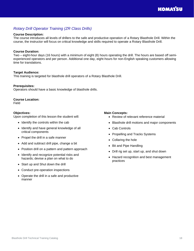# <span id="page-17-0"></span>*Rotary Drill Operator Training (ZR Class Drills)*

#### **Course Description:**

The course introduces all levels of drillers to the safe and productive operation of a Rotary Blasthole Drill. Within the course, the instructor will focus on critical knowledge and skills required to operate a Rotary Blasthole Drill.

#### **Course Duration:**

Two – eight-hour days (16 hours) with a minimum of eight (8) hours operating the drill. The hours are based off semiexperienced operators and per person. Additional one day, eight-hours for non-English speaking customers allowing time for translations.

#### **Target Audience:**

This training is targeted for blasthole drill operators of a Rotary Blasthole Drill.

#### **Prerequisites:**

Operators should have a basic knowledge of blasthole drills.

#### **Course Location:**

Field

#### **Objectives:**

Upon completion of this lesson the student will:

- Identify the controls within the cab
- Identify and have general knowledge of all critical components
- Propel the drill in a safe manner
- Add and subtract drill pipe, change a bit
- Position drill on a pattern and pattern approach
- Identify and recognize potential risks and hazards; devise a plan on what to do
- Start up and Shut down the drill
- Conduct pre-operation inspections
- Operate the drill in a safe and productive manner

- Review of relevant reference material
- Blasthole drill motions and major components
- Cab Controls
- Propelling and Tracks Systems
- Collaring the hole
- Bit and Pipe Handling
- Drill rig set up, start up, and shut down
- Hazard recognition and best management practices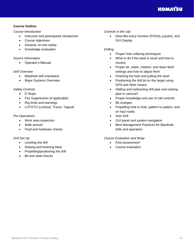#### **Course Outline:**

#### *Course Introduction*

- Instructor and participants introduction
- Course objectives
- General, on-site safety
- Knowledge evaluation

#### *Source Information*

• Operator's Manual

#### *Drill Overview*

- Blasthole drill orientation
- Major Systems Overview

#### *Safety Controls*

- E-Stops
- Fire Suppression (if applicable)
- Rig limits and warnings
- LOTOTO (Lockout, Tryout, Tagout)

#### *Pre-Operations*

- Work area inspection
- Walk around
- Fluid and hardware checks

#### *Drill Set-Up*

- Leveling the drill
- Raising and lowering Mast
- Propelling/positioning the drill
- Bit and steel checks

#### *Controls in the cab*

• Describe every function (PODS), joystick, and GUI Display

#### *Drilling*

- Proper hole collaring techniques
- What to do if the steel is stuck and how to resolve
- Proper air, water, rotation, and down feed settings and how to adjust them
- Finishing the hole and pulling the steel
- Positioning the drill bit on the target using GPS and other means
- Adding and subtracting drill pipe and racking pipe in carousel
- Proper knowledge and use of cab controls
- Bit changes
- Propelling hole to hole, pattern to pattern, and on haul roads
- Auto Drill
- GUI panel and system navigation
- Best Management Practices for Blasthole drills and operators

#### *Course Evaluation and Wrap*

- Post-assessment
- Course evaluation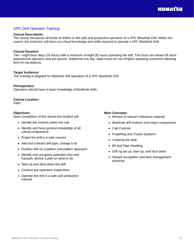# <span id="page-19-0"></span>*XPC Drill Operator Training*

#### **Course Description:**

The course introduces all levels of drillers to the safe and productive operation of a XPC Blasthole Drill. Within the course, the instructor will focus on critical knowledge and skills required to operate a XPC Blasthole Drill.

#### **Course Duration:**

Two – eight-hour days (16 hours) with a minimum of eight (8) hours operating the drill. The hours are based off semiexperienced operators and per person. Additional one day, eight-hours for non-English speaking customers allowing time for translations.

#### **Target Audience:**

This training is targeted for blasthole drill operators of a XPC Blasthole Drill.

#### **Prerequisites:**

Operators should have a basic knowledge of blasthole drills.

#### **Course Location:**

Field

#### **Objectives:**

Upon completion of this lesson the student will:

- Identify the controls within the cab
- Identify and have general knowledge of all critical components
- Propel the drill in a safe manner
- Add and subtract drill pipe, change a bit
- Position drill on a pattern and pattern approach
- Identify and recognize potential risks and hazards; devise a plan on what to do
- Start up and Shut down the drill
- Conduct pre-operation inspections
- Operate the drill in a safe and productive manner

- Review of relevant reference material
- Blasthole drill motions and major components
- Cab Controls
- Propelling and Tracks Systems
- Collaring the hole
- Bit and Pipe Handling
- Drill rig set up, start up, and shut down
- Hazard recognition and best management practices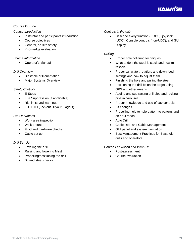#### **Course Outline:**

#### *Course Introduction*

- Instructor and participants introduction
- Course objectives
- General, on-site safety
- Knowledge evaluation

#### *Source Information*

• Operator's Manual

#### *Drill Overview*

- Blasthole drill orientation
- Major Systems Overview

#### *Safety Controls*

- E-Stops
- Fire Suppression (if applicable)
- Rig limits and warnings
- LOTOTO (Lockout, Tryout, Tagout)

#### *Pre-Operations*

- Work area inspection
- Walk around
- Fluid and hardware checks
- Cable set up

#### *Drill Set-Up*

- Leveling the drill
- Raising and lowering Mast
- Propelling/positioning the drill
- Bit and steel checks

#### *Controls in the cab*

• Describe every function (PODS), joystick (UDC), Console controls (non-UDC), and GUI **Display** 

#### *Drilling*

- Proper hole collaring techniques
- What to do if the steel is stuck and how to resolve
- Proper air, water, rotation, and down feed settings and how to adjust them
- Finishing the hole and pulling the steel
- Positioning the drill bit on the target using GPS and other means
- Adding and subtracting drill pipe and racking pipe in carousel
- Proper knowledge and use of cab controls
- Bit changes
- Propelling hole to hole pattern to pattern, and on haul roads
- Auto Drill
- Cable Reel and Cable Management
- GUI panel and system navigation
- Best Management Practices for Blasthole drills and operators

#### *Course Evaluation and Wrap Up*

- Post-assessment
- Course evaluation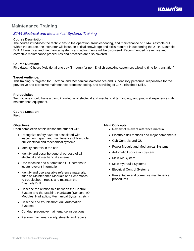# <span id="page-21-0"></span>**Maintenance Training**

# <span id="page-21-1"></span>*ZT44 Electrical and Mechanical Systems Training*

#### **Course Description:**

The course introduces the technicians to the operation, troubleshooting, and maintenance of ZT44 Blasthole drill. Within the course, the instructor will focus on critical knowledge and skills required in supporting the ZT44 Blasthole Drill. All electrical and mechanical systems and adjustments will be discussed. Recommended preventive and corrective maintenance procedures and practices are also covered.

#### **Course Duration:**

Five days, 40 hours (Additional one day (8-hours) for non-English speaking customers allowing time for translation)

#### **Target Audience:**

This training is targeted for Electrical and Mechanical Maintenance and Supervisory personnel responsible for the preventive and corrective maintenance, troubleshooting, and servicing of ZT44 Blasthole Drills.

#### **Prerequisites:**

Technicians should have a basic knowledge of electrical and mechanical terminology and practical experience with maintenance equipment.

#### **Course Location:**

Field

#### **Objectives:**

Upon completion of this lesson the student will:

- Recognize safety hazards associated with inspection, repair, and maintenance of blasthole drill electrical and mechanical systems
- Identify controls in the cab
- Identify and describe general purpose of all electrical and mechanical systems
- Use machine and automations GUI screens to locate relevant information
- Identify and use available reference materials, such as Maintenance Manuals and Schematics to troubleshoot, repair, and maintain the Blasthole Drill
- Describe the relationship between the Control System and the Machine Hardware (Sensors, IO Modules, Hydraulics, Mechanical Systems, etc.).
- Describe and troubleshoot drill Automation **Systems**
- Conduct preventive maintenance inspections
- Perform maintenance adjustments and repairs

- Review of relevant reference material
- Blasthole drill motions and major components
- Cab Controls and GUI
- Power Module and Mechanical Systems
- Automatic Lubrication System
- Main Air System
- Main Hydraulic Systems
- Electrical Control Systems
- Preventative and corrective maintenance procedures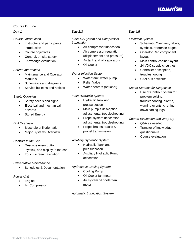#### **Course Outline:**

#### *Day 1*

#### *Course Introduction*

- Instructor and participants introduction
- Course objectives
- General, on-site safety
- Knowledge evaluation

#### *Source Information*

- Maintenance and Operator Manuals
- Schematics and diagrams
- Service bulletins and notices

#### *Safety Overview*

- Safety decals and signs
- Electrical and mechanical hazards
- Stored Energy

#### *Drill Overview*

- Blasthole drill orientation
- Major Systems Overview

#### *Controls in the Cab*

- Describe every button, joystick, and display in the cab
- Touch screen navigation

#### *Preventative Maintenance*

• Schedules & Documentation

#### *Power Unit*

- Engine
- Air Compressor

### *Day 2/3*

*Main Air System and Compressor Lubrication*

- Air compressor lubrication
- Air compressor regulation (displacement and pressure)
- Air tank and oil separators
- **Oil Cooler**

#### *Water Injection System*

- Water tank, water pump
- **Relief Valve**
- Water heaters (optional)

#### *Main Hydraulic System*

- Hydraulic tank and pressurization
- Main pump's description, adjustments, troubleshooting
- Propel system description, adjustments, troubleshooting
- Propel brakes, tracks & propel transmission

#### *Auxiliary Hydraulic System*

- Hydraulic Tank and pressurization
- Auxiliary Hydraulic Pump description

#### *Hydrostatic Cooling System*

- Cooling Pump
- Oil Cooler fan motor
- Air system oil cooler fan motor

*Automatic Lubrication System*

#### *Day 4/5*

*Electrical System*

- Schematic Overview, labels, symbols, reference pages
- Operator Cab component layout
- Main control cabinet layout
- 24 VDC supply circuitries
- Controller description, troubleshooting
- CAN bus networks

#### *Use of Screens for Diagnostic*

• Use of Control System for problem solving, troubleshooting, alarms, warning events, charting, downloading logs

#### *Course Evaluation and Wrap Up*

- Q&A as needed
- Transfer of knowledge questionnaire
- Course evaluation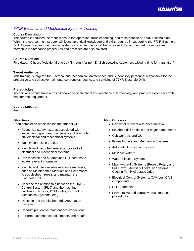# <span id="page-23-0"></span>*77XR Electrical and Mechanical Systems Training*

#### **Course Description:**

The course introduces the technicians to the operation, troubleshooting, and maintenance of 77XR Blasthole drill. Within the course, the instructor will focus on critical knowledge and skills required in supporting the 77XR Blasthole Drill. All electrical and mechanical systems and adjustments will be discussed. Recommended preventive and corrective maintenance procedures and practices are also covered.

#### **Course Duration:**

Five days, 40 hours (Additional one day (8-hours) for non-English speaking customers allowing time for translation)

#### **Target Audience:**

This training is targeted for Electrical and Mechanical Maintenance and Supervisory personnel responsible for the preventive and corrective maintenance, troubleshooting, and servicing of 77XR Blasthole Drills.

#### **Prerequisites:**

Technicians should have a basic knowledge of electrical and mechanical terminology and practical experience with maintenance equipment.

#### **Course Location:**

Field

#### **Objectives:**

Upon completion of this lesson the student will:

- Recognize safety hazards associated with inspection, repair, and maintenance of blasthole drill electrical and mechanical systems
- Identify controls in the cab
- Identify and describe general purpose of all electrical and mechanical systems
- Use machine and automations GUI screens to locate relevant information
- Identify and use available reference materials, such as Maintenance Manuals and Schematics to troubleshoot, repair, and maintain the Blasthole Drill
- Describe the relationship between the LINCS II Control System (PLC) and the machine hardware (Sensors, IO Modules, Hydraulics, Mechanical Systems, etc.).
- Describe and troubleshoot drill Automation **Systems**
- Conduct preventive maintenance inspections
- Perform maintenance adjustments and repairs

- Review of relevant reference material
- Blasthole drill motions and major components
- Cab Controls and GUI
- Power Module and Mechanical Systems
- Automatic Lubrication System
- Main Air System
- Water Injection System
- Main Hydraulic Systems (Propel, Rotary and Pull Down), Auxiliary Hydraulic Systems, Cooling Fan Hydrostatic Drive
- Electrical Control Systems, CAN bus, CAN components
- Drill Automation
- Preventative and corrective maintenance procedures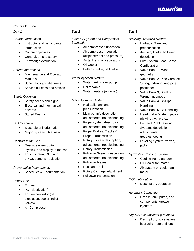#### **Course Outline:**

#### *Day 1*

#### *Course Introduction*

- Instructor and participants introduction
- Course objectives
- General, on-site safety
- Knowledge evaluation

#### *Source Information*

- Maintenance and Operator Manuals
- Schematics and diagrams
- Service bulletins and notices

#### *Safety Overview*

- Safety decals and signs
- Electrical and mechanical hazards
- Stored Energy

#### *Drill Overview*

- Blasthole drill orientation
- Major Systems Overview

#### *Controls in the Cab*

- Describe every button, joystick, and display in the cab
- Touch screen, GUI, and LINCS screens navigation

#### *Preventative Maintenance*

• Schedules & Documentation

#### *Power Unit*

- Engine
- PDT (lubrication)
- Torque convertor (oil circulation, cooler, relief valves)
- Air Compressor

#### *Day 2*

*Main Air System and Compressor Lubrication*

- Air compressor lubrication
- Air compressor regulation (displacement and pressure)
- Air tank and oil separators
- **Oil Cooler**
- Butterfly valve, ball valve

#### *Water Injection System*

- Water tank, water pump
- **Relief Valve**
- Water heaters (optional)

#### *Main Hydraulic System*

- Hydraulic tank and pressurization
- Main pump's description, adjustments, troubleshooting
- Propel system description, adjustments, troubleshooting
- Propel Brakes, Tracks & Propel Transmission
- Rotary System description, adjustments, troubleshooting
- Rotary Transmission
- Pulldown System description, adjustments, troubleshooting
- Pulldown brakes
- Rack and Pinion
- Rotary Carriage adjustment
- Pulldown transmission

#### *Day 3*

#### *Auxiliary Hydraulic System*

- Hydraulic Tank and pressurization
- Auxiliary Hydraulic Pump description
- Pilot System, Load Sense Configuration
- Valve Bank 1, Mast geometry
- Valve Bank 2, Pipe Carousel Swing, indexing, and pipe positioner
- Valve Bank 3, Breakout Wrench geometry
- Valve Bank 4, Bit/Pipe Handling
- Valve Bank 5, Bit Handling
- Head brake, Water Injection, Bit Air Valve, HVAC
- Left and Right Leveling Systems description, adjustments, troubleshooting
- Leveling System, valves, jacks

#### *Hydrostatic Cooling System*

- Cooling Pump (tandem)
- Oil Cooler fan motor
- Air system oil cooler fan motor

#### *OGL Lubrication*

• Description, operation

#### *Automatic Lubrication*

- Grease tank, pump, and components, grease injectors
- *Dry Air Dust Collector (Optional)*
	- Description, pulse valves, hydraulic motors, filters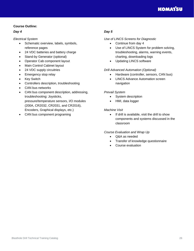#### **Course Outline:**

#### *Day 4*

*Electrical System*

- Schematic overview, labels, symbols, reference pages
- 24 VDC batteries and battery charge
- Stand-by Generator (optional)
- Operator Cab component layout
- Main Control Cabinet layout
- 24 VDC supply circuitries
- Emergency stop relay
- Key Switch
- Controllers description, troubleshooting
- CAN bus networks
- CAN bus component description, addressing, troubleshooting: Joysticks, pressure/temperature sensors, I/O modules (200A, CR2032, CR2031, and CR2016), Encoders, Graphical displays, etc.)
- CAN bus component programing

## *Day 5*

#### *Use of LINCS Screens for Diagnostic*

- Continue from day 4
- Use of LINCS System for problem solving, troubleshooting, alarms, warning events, charting, downloading logs
- Updating LINCS software

#### *Drill Advanced Automation (Optional)*

- Hardware (controller, sensors, CAN bus)
- LINCS Advance Automation screen navigation

#### *Prevail System*

- System description
- HMI, data logger

#### *Machine Visit*

• If drill is available, visit the drill to show components and systems discussed in the classroom

#### *Course Evaluation and Wrap Up*

- Q&A as needed
- Transfer of knowledge questionnaire
- Course evaluation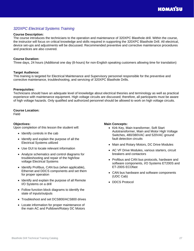# <span id="page-26-0"></span>*320XPC Electrical Systems Training*

#### **Course Description:**

The course introduces the technicians to the operation and maintenance of 320XPC Blasthole drill. Within the course, the instructor will focus on critical knowledge and skills required in supporting the 320XPC Blasthole Drill. All electrical, device set-ups and adjustments will be discussed. Recommended preventive and corrective maintenance procedures and practices are also covered.

#### **Course Duration:**

Three days, 24 hours (Additional one day (8-hours) for non-English speaking customers allowing time for translation)

#### **Target Audience:**

This training is targeted for Electrical Maintenance and Supervisory personnel responsible for the preventive and corrective maintenance, troubleshooting, and servicing of 320XPC Blasthole Drills.

#### **Prerequisites:**

Technicians should have an adequate level of knowledge about electrical theories and terminology as well as practical experience with maintenance equipment. High voltage circuits are discussed; therefore, all participants must be aware of high voltage hazards. Only qualified and authorized personnel should be allowed to work on high voltage circuits.

#### **Course Location:**

Field

#### **Objectives:**

Upon completion of this lesson the student will:

- Identify controls in the cab
- Identify and explain the purpose of all the Electrical Systems utilized
- Use GUI to locate relevant information
- Analyze schematics and control diagrams for troubleshooting and repair of the high/low voltage Electrical Systems
- Identify Profibus, CAN bus (when applicable), Ethernet and DDCS components and set them for proper operation
- Identify and explain the purpose of all Remote I/O Systems on a drill
- Follow function block diagrams to identify the state of inputs/outputs
- Troubleshoot and set DCS800/ACS800 drives
- Locate information for proper maintenance of the main AC and Pulldown/Rotary DC Motors

- Kirk Key, Main transformer, Soft Start Autotransformer, Main and Motor High Voltage Switches, 480/380VAC and 520VAC ground fault detection circuits
- Main and Rotary Motors, DC Drive Modules
- AC VF Drive Modules, various starters, circuit breakers and contactors
- Profibus and CAN bus protocols, hardware and software components, I/O Systems ET200S and ET-200S ECOfast
- CAN bus hardware and software components (UDC Cab)
- DDCS Protocol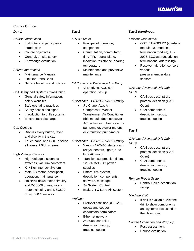#### **Course Outline:**

#### *Day 1*

#### *Course Introduction*

- Instructor and participants introduction
- Course objectives
- General, on-site safety
- Knowledge evaluation

#### *Source Information*

- Maintenance Manuals
- LinkOne Parts Book
- Service bulletins and notices

#### *Drill Safety and Systems Introduction*

- General safety information, safety websites
- Safe operating practices
- Safety decals and signs
- Introduction to drills systems
- Electrostatic discharge

#### *Cab Controls*

- Discuss every button, lever, and display in the cab
- Touch panel and GUI discuss all relevant GUI screens

#### High Voltage Circuitry

- High Voltage disconnect switches, vacuum contactors
- Kirk Key Interlock System
- Main AC motor, description, operation, maintenance
- Hoist/Pulldown motor circuitry and DCS800 drives, rotary motors circuitry and DSC800 drive, DDCS network

#### *Day 2*

#### *K-504T Motor*

- Principal of operation, components
- Commutation, commutator, film, TIR, neutral plane, insolation resistance, bearing temperature
- Maintenance and preventive maintenance

#### *Oil Cooler and Water Injection Pump*

• VFD drives, ACS 800 operation, set-up

#### *Miscellaneous 480/320 VAC Circuitry*

• Jib Crane, Aux. Air Compressor, Welder Transformer, Air Conditioner (this module does not cover AC recharging), low pressure pump/motor, blower motors, oil circulation pump/motor

#### *Miscellaneous 208/120 VAC Circuitry*

- Various 120VAC starters and relays, heaters, lights, auto lube AC motor
- Transient suppression filters, 120VAC/24VDC power supplies
- Smart UPS system, description, components, software, messages
- Air System Control
- Brake Air & Lube Air System

#### *Profibus*

- Protocol definition, (DP-V1), optical and copper conductors, terminators
- Ethernet network
- AC800M controller, description, set-up, troubleshooting

#### *Day 2 (continued)*

#### *Profibus (continued)*

- OBT, ET-200S I/O (interface module, I/O modules, termination module), ET-200S ECOfast (description, terminations, addressing)
- Resolver, vibration sensors, various pressure/temperature sensors

#### *CAN bus (Universal Drill Cab – UDC)*

- CAN bus description, protocol definition (CAN Open)
- CAN components description, set-up, troubleshooting

#### *Day 3*

#### *CAN bus (Universal Drill Cab – UDC)*

- CAN bus description, protocol definition (CAN Open)
- CAN components description, set-up, troubleshooting

#### *Remote Propel System*

• Control Chief, description, set up

#### *Machine Visit*

• If drill is available, visit the drill to show components and systems discussed in the classroom

#### *Course Evaluation and Wrap Up*

- Post-assessment
- Course evaluation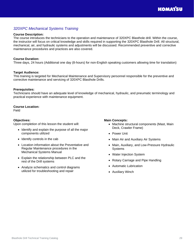# <span id="page-28-0"></span>*320XPC Mechanical Systems Training*

#### **Course Description:**

The course introduces the technicians to the operation and maintenance of 320XPC Blasthole drill. Within the course, the instructor will focus on critical knowledge and skills required in supporting the 320XPC Blasthole Drill. All structural, mechanical, air, and hydraulic systems and adjustments will be discussed. Recommended preventive and corrective maintenance procedures and practices are also covered.

#### **Course Duration:**

Three days, 24 hours (Additional one day (8-hours) for non-English speaking customers allowing time for translation)

#### **Target Audience:**

This training is targeted for Mechanical Maintenance and Supervisory personnel responsible for the preventive and corrective maintenance and servicing of 320XPC Blasthole Drills.

#### **Prerequisites:**

Technicians should have an adequate level of knowledge of mechanical, hydraulic, and pneumatic terminology and practical experience with maintenance equipment.

#### **Course Location:**

Field

#### **Objectives:**

Upon completion of this lesson the student will:

- Identify and explain the purpose of all the major components utilized
- Identify controls in the cab
- Location information about the Preventative and Regular Maintenance procedures in the Mechanical Systems Manual
- Explain the relationship between PLC and the rest of the Drill systems
- Analyze schematics and control diagrams utilized for troubleshooting and repair

- Machine structural components (Mast, Main Deck, Crawler Frame)
- Power Unit
- Main Air and Auxiliary Air Systems
- Main, Auxiliary, and Low-Pressure Hydraulic Systems
- Water Injection System
- Rotary Carriage and Pipe Handling
- Automatic Lubrication
- Auxiliary Winch